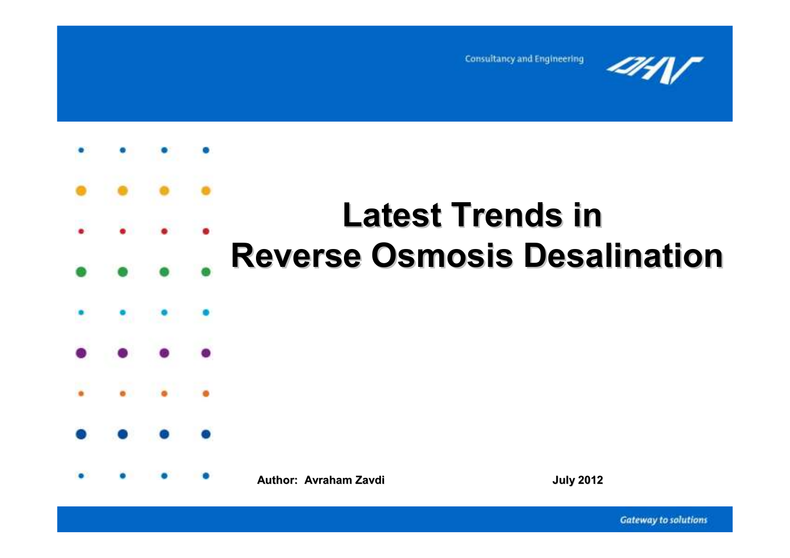

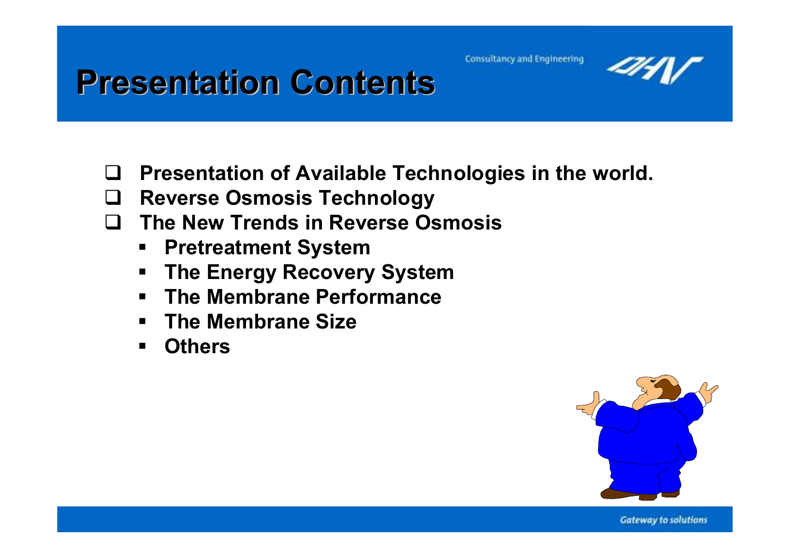## Presentation Contents

- $\Box$ Presentation of Available Technologies in the world.
- $\Box$ Reverse Osmosis Technology
- $\Box$  The New Trends in Reverse Osmosis
	- -Pretreatment System
	- $\blacksquare$ The Energy Recovery System
	- -■ The Membrane Performance
	- $\blacksquare$ The Membrane Size
	- $\blacksquare$ **Others**

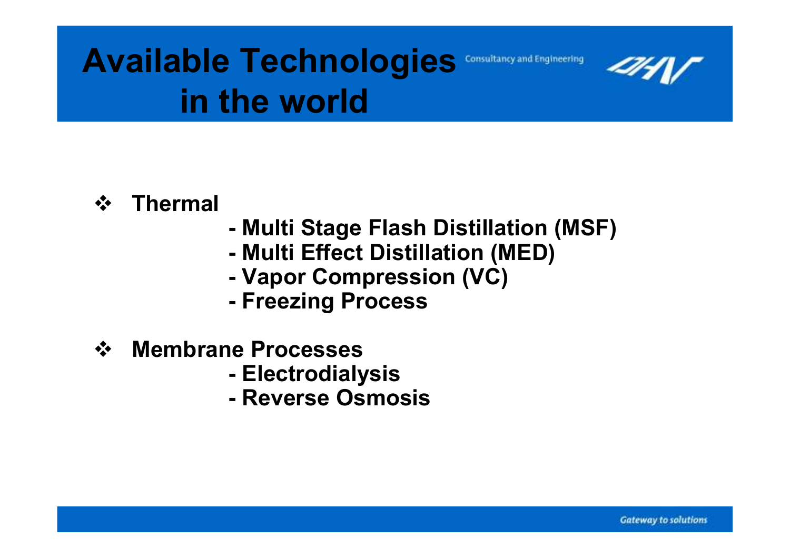# Available Technologies **Consultancy and Engineering** in the world

#### $\frac{1}{2}$ Thermal

- -**Multi Stage Flash Distillation (MSF)**<br>Multi Effect Distillation (MED)
- -**Multi Effect Distillation (MED)**<br>*Manor Compression (VC)*
- -Vapor Compression (VC)
- -Freezing Process
- $\frac{1}{2}$  Membrane Processes
	- -Electrodialysis<br>Beverse Osme
	- -Reverse Osmosis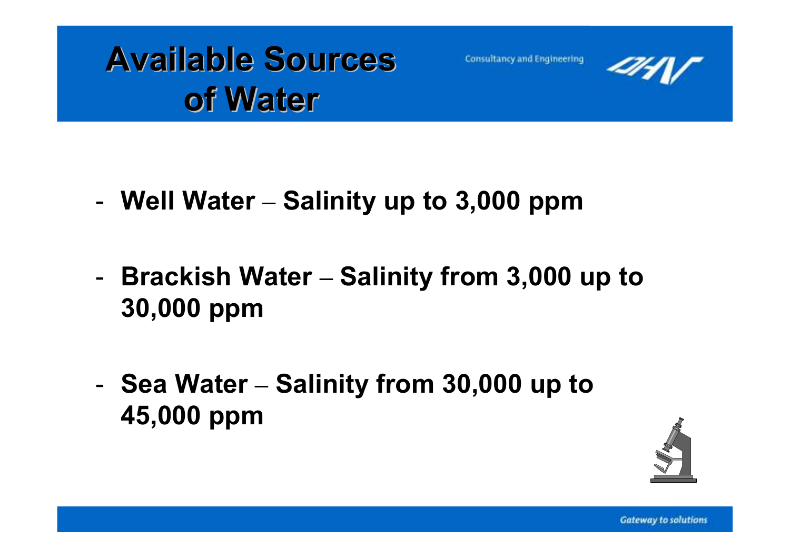



- - Well Water  $-$  Salinity up to 3,000 ppm
- -- Brackish Water  $-$  Salinity from 3,000 up to  $\,$ 30,000 ppm
- -- Sea Water – $-$  Salinity from 30,000 up to  $\,$ 45,000 ppm

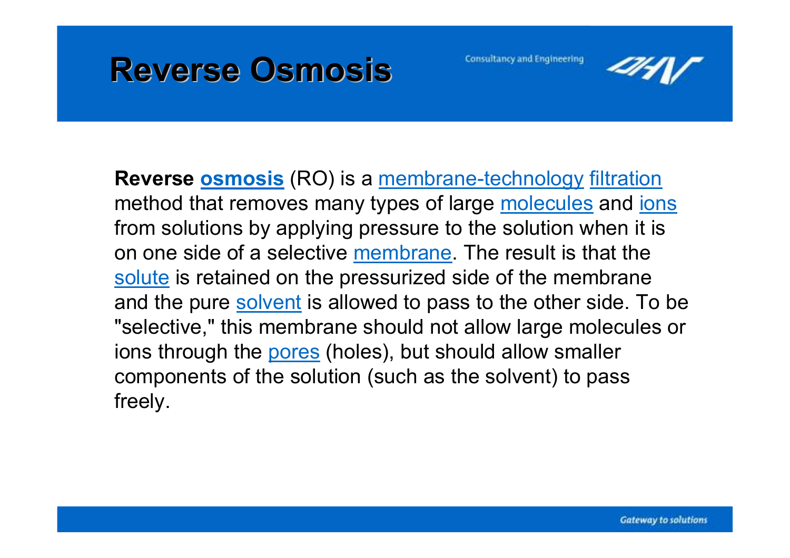### Reverse Osmosis

**Consultancy and Engineering** 



Reverse <u>osmosis</u> (RO) is a <u>membrane-technology filtration</u> method that removes many types of large <u>molecules</u> and <u>ions</u> from solutions by applying pressure to the solution when it is on one side of a selective membrane. The result is that the solute is retained on the pressurized side of the membrane and the pure <u>solvent</u> is allowed to pass to the other side. To be "selective," this membrane should not allow large molecules or ions through the <u>pores</u> (holes), but should allow smaller components of the solution (such as the solvent) to pass freely.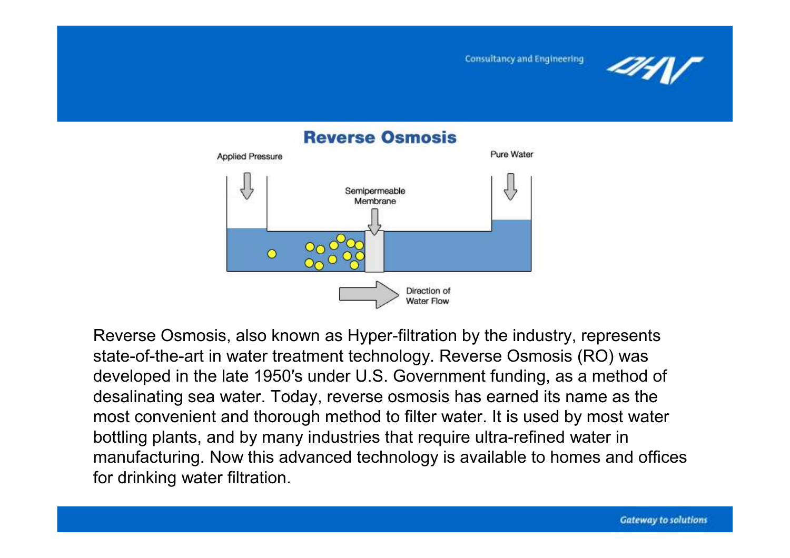



Reverse Osmosis, also known as Hyper-filtration by the industry, represents state-of-the-art in water treatment technology. Reverse Osmosis (RO) was developed in the late 1950′s under U.S. Government funding, as a method of desalinating sea water. Today, reverse osmosis has earned its name as the most convenient and thorough method to filter water. It is used by most water bottling plants, and by many industries that require ultra-refined water in manufacturing. Now this advanced technology is available to homes and offices for drinking water filtration.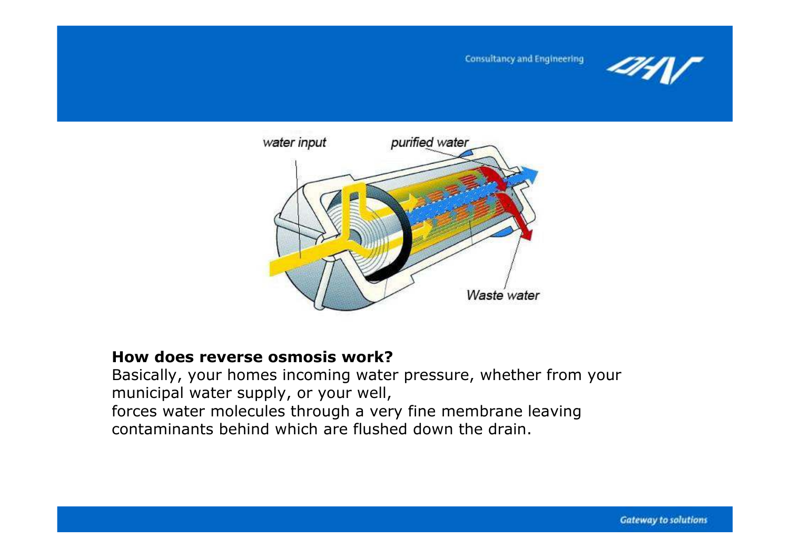



#### How does reverse osmosis work?

 Basically, your homes incoming water pressure, whether from yourmunicipal water supply, or your well, forces water molecules through a very fine membrane leaving contaminants behind which are flushed down the drain.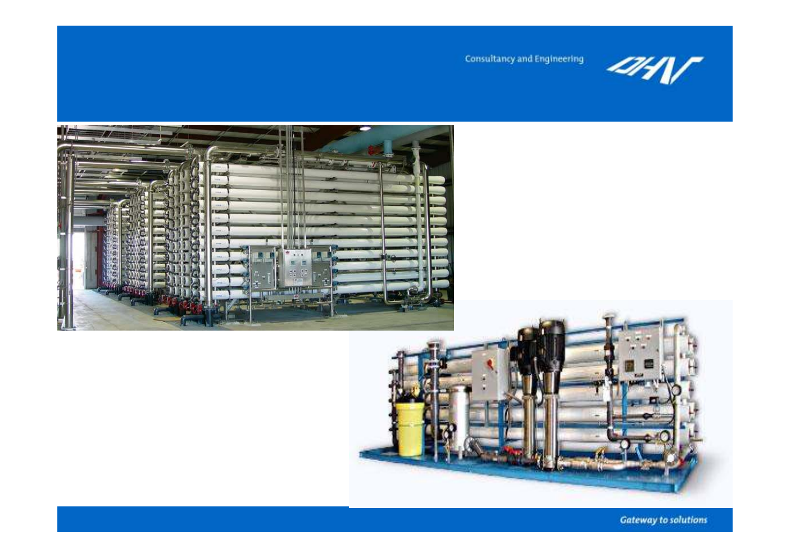

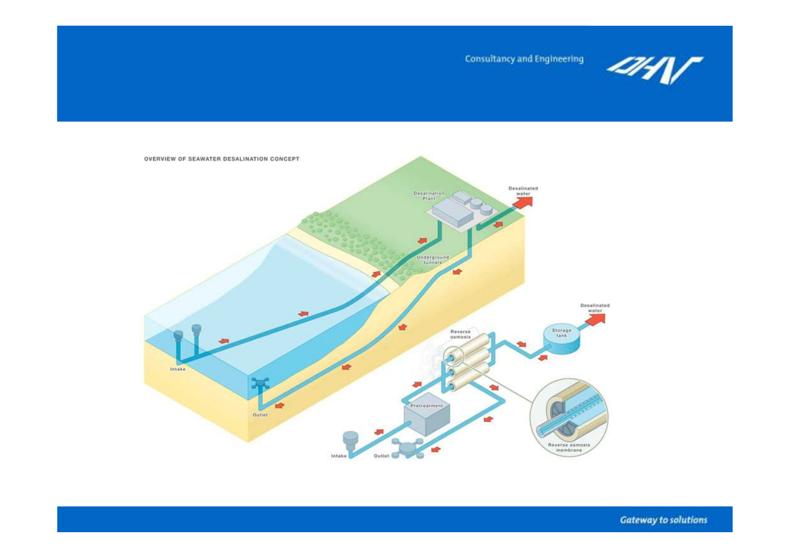

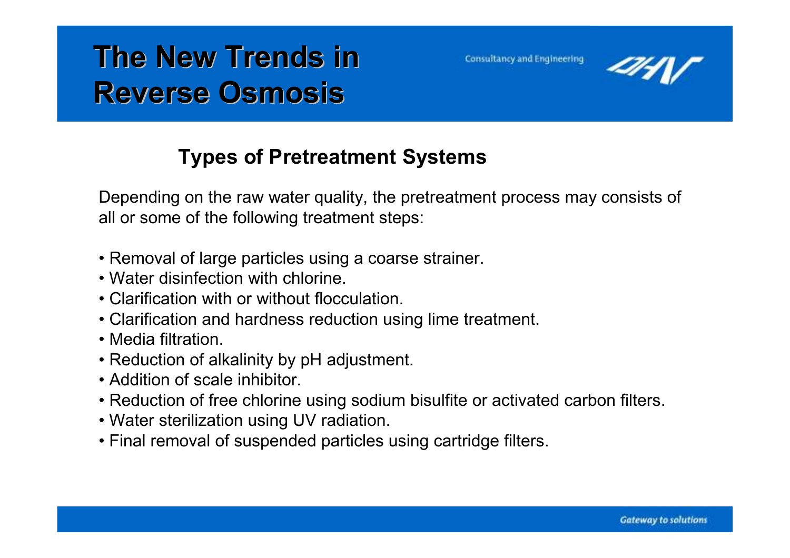**Consultancy and Engineering** 



### Types of Pretreatment Systems

Depending on the raw water quality, the pretreatment process may consists of all or some of the following treatment steps:

- Removal of large particles using a coarse strainer.<br>• Water disinfection with chlorine
- Water disinfection with chlorine.
- Clarification with or without flocculation.
- Clarification and hardness reduction using lime treatment.<br>. Medie fittration
- Media filtration.
- Reduction of alkalinity by pH adjustment.
- Addition of scale inhibitor.<br>• Reduction of free oblaring
- Reduction of free chlorine using sodium bisulfite or activated carbon filters.<br>. Weter starilization using UV rediction
- Water sterilization using UV radiation.
- Final removal of suspended particles using cartridge filters.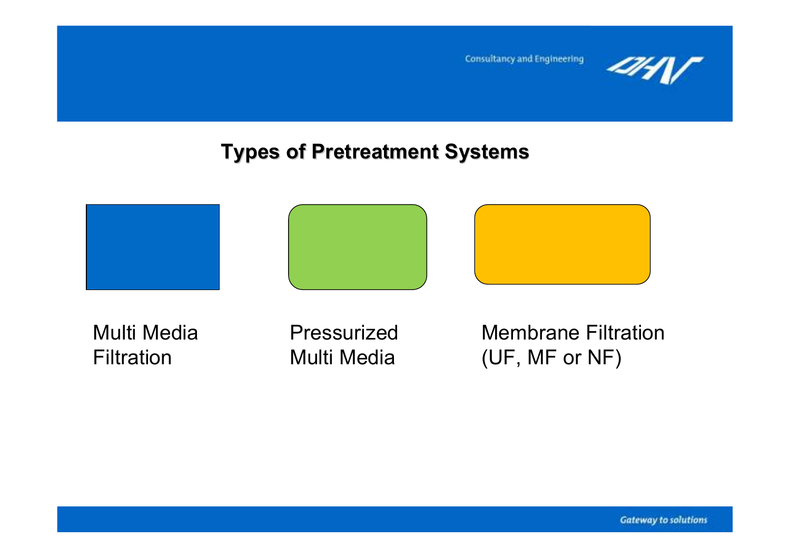



### Types of Pretreatment Systems

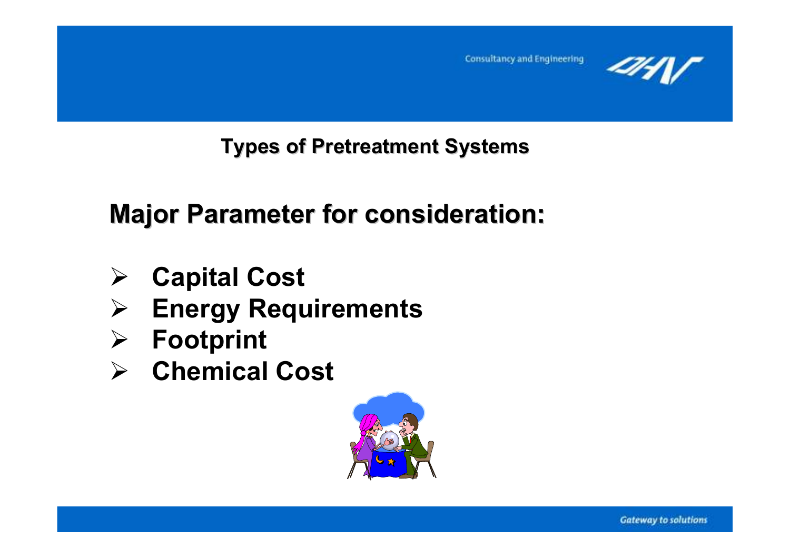

Types of Pretreatment Systems

### Major Parameter for consideration:

- $\blacktriangleright$ Capital Cost
- Energy Requirements
- De Footprint<br>Dermies
- Chemical Cost

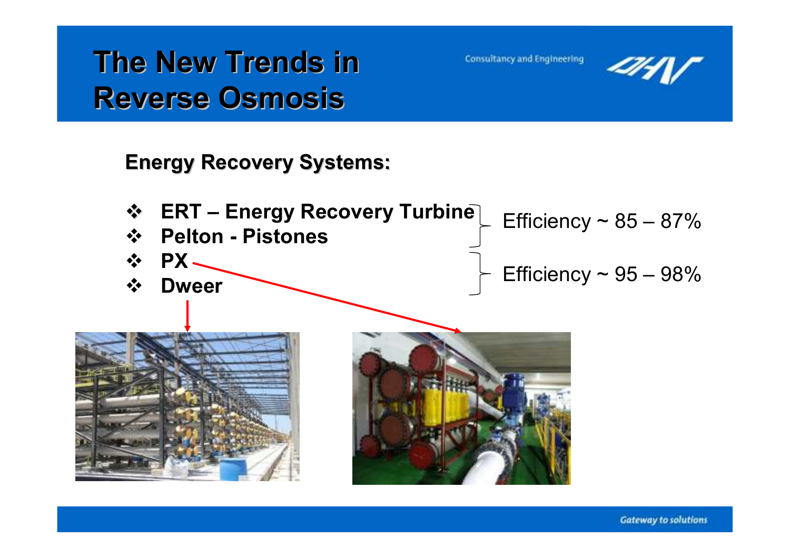Energy Recovery Systems:



**Consultancy and Engineering**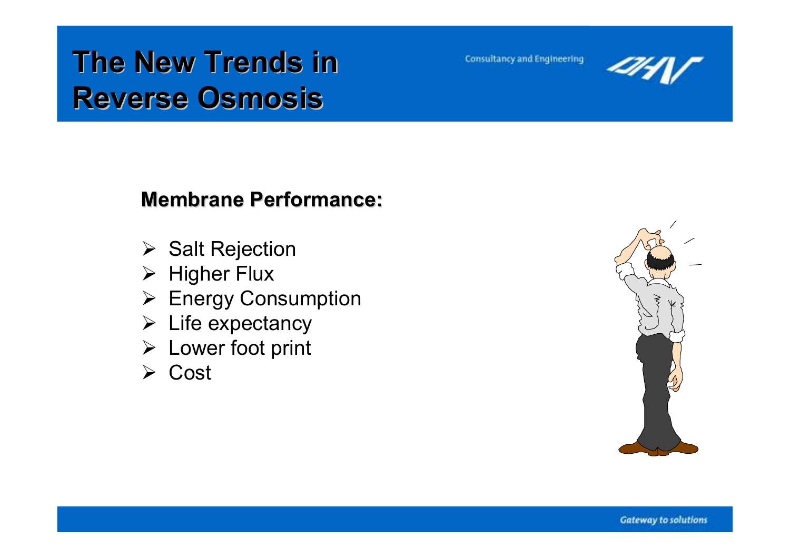**Consultancy and Engineering** 



#### Membrane Performance:

- → Salt Rejection<br>Nulligher Flux
- De Higher Flux<br>Decrew Cor
- **Energy Consumption**<br>
N Life expectancy
- > Life expectancy
- > Lower foot print
- Cost

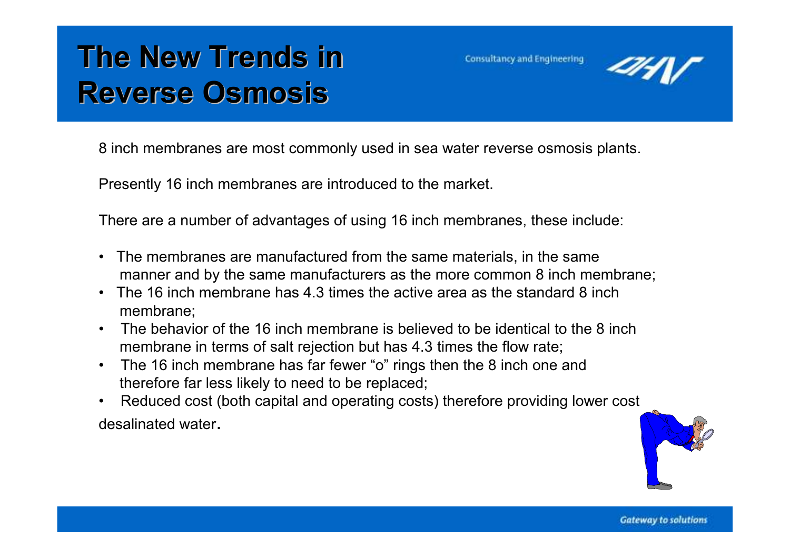**Consultancy and Engineering** 



8 inch membranes are most commonly used in sea water reverse osmosis plants.

Presently 16 inch membranes are introduced to the market.

There are a number of advantages of using 16 inch membranes, these include:

- The membranes are manufactured from the same materials, in the same manner and by the same manufacturers as the more common 8 inch membrane;
- The 16 inch membrane has 4.3 times the active area as the standard 8 inch<br>mambrane: membrane;
- • The behavior of the 16 inch membrane is believed to be identical to the 8 inch membrane in terms of salt rejection but has 4.3 times the flow rate;
- The 16 inch membrane has far fewer "o" rings then the 8 inch one and<br>therefore far less likely to read to be repleced: therefore far less likely to need to be replaced;
- • Reduced cost (both capital and operating costs) therefore providing lower cost desalinated water.